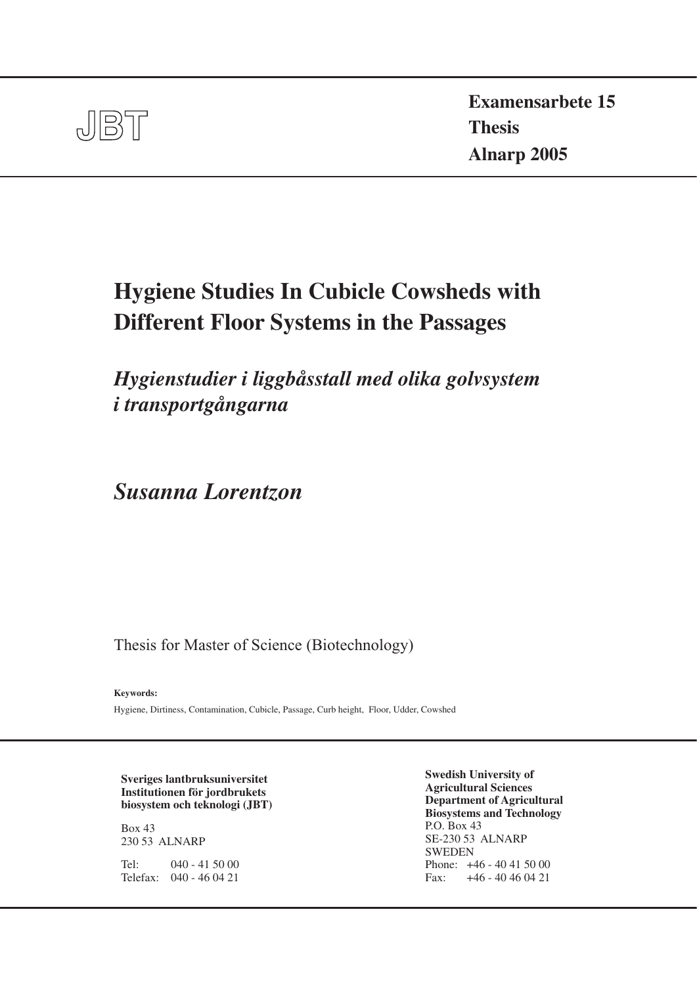

**Examensarbete 15 Thesis Alnarp 2005**

# **Hygiene Studies In Cubicle Cowsheds with Different Floor Systems in the Passages**

*Hygienstudier i liggbåsstall med olika golvsystem i transportgångarna*

*Susanna Lorentzon*

Thesis for Master of Science (Biotechnology)

**Keywords:** 

Hygiene, Dirtiness, Contamination, Cubicle, Passage, Curb height, Floor, Udder, Cowshed

**Sveriges lantbruksuniversitet Institutionen för jordbrukets biosystem och teknologi (JBT)**

Box 43 230 53 ALNARP

Tel: 040 - 41 50 00 Telefax: 040 - 46 04 21

**Swedish University of Agricultural Sciences Department of Agricultural Biosystems and Technology** P.O. Box 43 SE-230 53 ALNARP SWEDEN Phone: +46 - 40 41 50 00 Fax: +46 - 40 46 04 21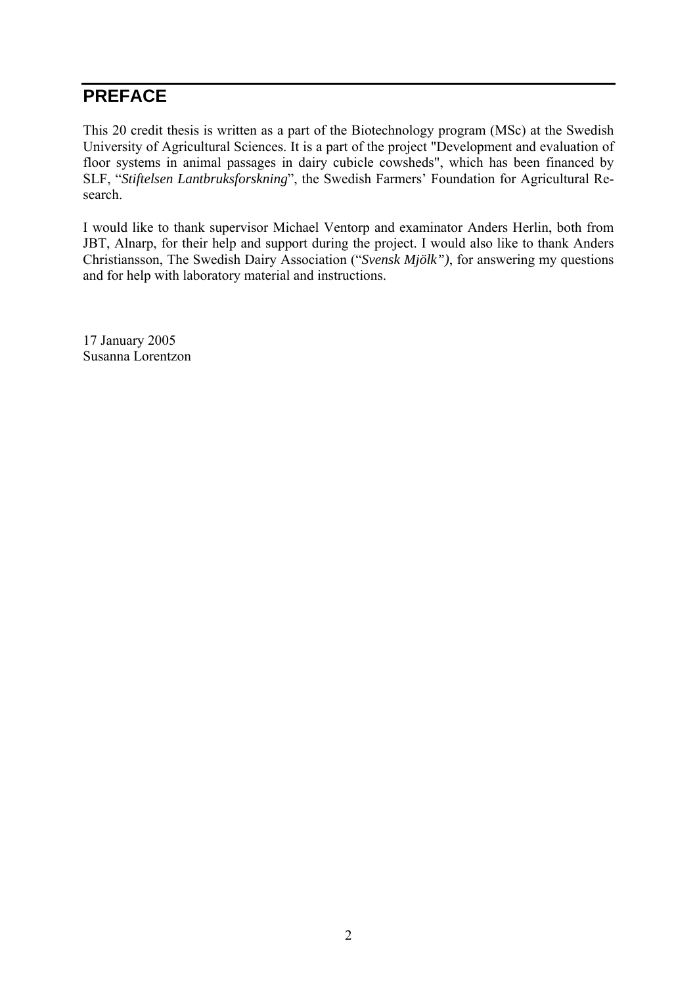## **PREFACE**

This 20 credit thesis is written as a part of the Biotechnology program (MSc) at the Swedish University of Agricultural Sciences. It is a part of the project "Development and evaluation of floor systems in animal passages in dairy cubicle cowsheds", which has been financed by SLF, "*Stiftelsen Lantbruksforskning*", the Swedish Farmers' Foundation for Agricultural Research.

I would like to thank supervisor Michael Ventorp and examinator Anders Herlin, both from JBT, Alnarp, for their help and support during the project. I would also like to thank Anders Christiansson, The Swedish Dairy Association ("*Svensk Mjölk")*, for answering my questions and for help with laboratory material and instructions.

17 January 2005 Susanna Lorentzon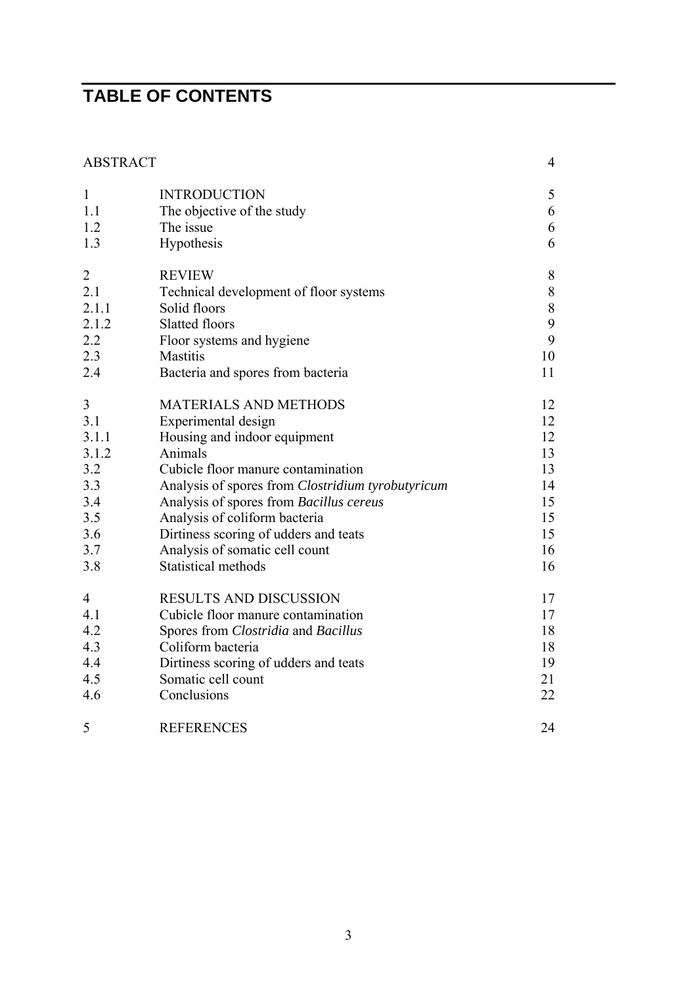# **TABLE OF CONTENTS**

| <b>ABSTRACT</b> |                                                   | $\overline{4}$ |
|-----------------|---------------------------------------------------|----------------|
| $\mathbf{1}$    | <b>INTRODUCTION</b>                               | 5              |
| 1.1             | The objective of the study                        | 6              |
| 1.2             | The issue                                         | 6              |
| 1.3             | Hypothesis                                        | 6              |
| $\overline{2}$  | <b>REVIEW</b>                                     | $\, 8$         |
| 2.1             | Technical development of floor systems            | $8\,$          |
| 2.1.1           | Solid floors                                      | $8\,$          |
| 2.1.2           | <b>Slatted floors</b>                             | 9              |
| 2.2             | Floor systems and hygiene                         | 9              |
| 2.3             | <b>Mastitis</b>                                   | 10             |
| 2.4             | Bacteria and spores from bacteria                 | 11             |
| 3               | <b>MATERIALS AND METHODS</b>                      | 12             |
| 3.1             | Experimental design                               | 12             |
| 3.1.1           | Housing and indoor equipment                      | 12             |
| 3.1.2           | Animals                                           | 13             |
| 3.2             | Cubicle floor manure contamination                | 13             |
| 3.3             | Analysis of spores from Clostridium tyrobutyricum | 14             |
| 3.4             | Analysis of spores from Bacillus cereus           | 15             |
| 3.5             | Analysis of coliform bacteria                     | 15             |
| 3.6             | Dirtiness scoring of udders and teats             | 15             |
| 3.7             | Analysis of somatic cell count                    | 16             |
| 3.8             | Statistical methods                               | 16             |
| $\overline{4}$  | <b>RESULTS AND DISCUSSION</b>                     | 17             |
| 4.1             | Cubicle floor manure contamination                | 17             |
| 4.2             | Spores from Clostridia and Bacillus               | 18             |
| 4.3             | Coliform bacteria                                 | 18             |
| 4.4             | Dirtiness scoring of udders and teats             | 19             |
| 4.5             | Somatic cell count                                | 21             |
| 4.6             | Conclusions                                       | 22             |
| 5               | <b>REFERENCES</b>                                 | 24             |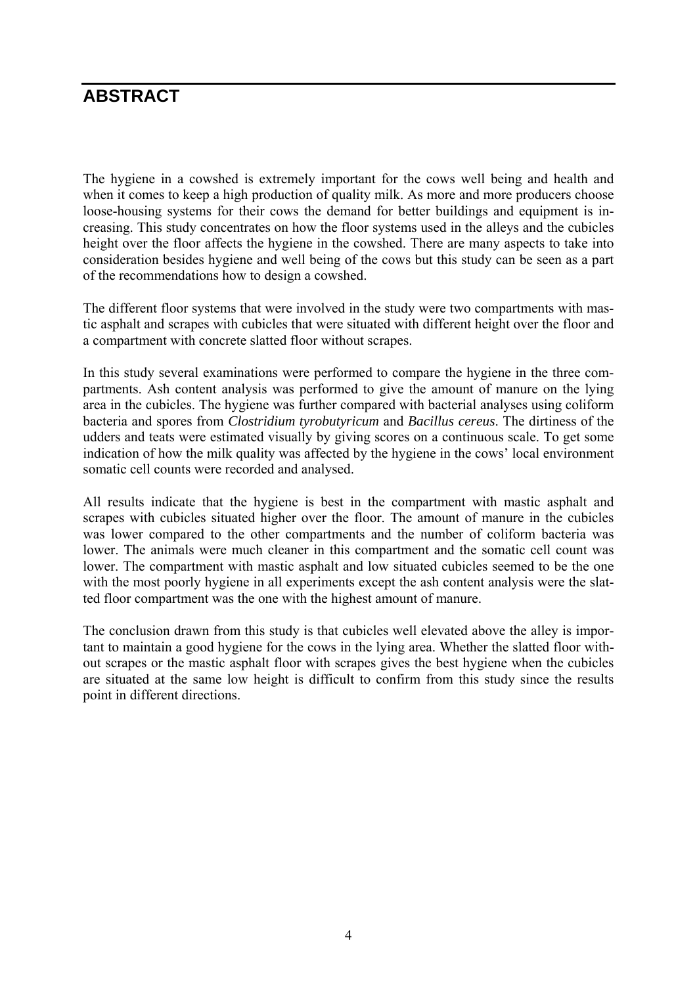## **ABSTRACT**

The hygiene in a cowshed is extremely important for the cows well being and health and when it comes to keep a high production of quality milk. As more and more producers choose loose-housing systems for their cows the demand for better buildings and equipment is increasing. This study concentrates on how the floor systems used in the alleys and the cubicles height over the floor affects the hygiene in the cowshed. There are many aspects to take into consideration besides hygiene and well being of the cows but this study can be seen as a part of the recommendations how to design a cowshed.

The different floor systems that were involved in the study were two compartments with mastic asphalt and scrapes with cubicles that were situated with different height over the floor and a compartment with concrete slatted floor without scrapes.

In this study several examinations were performed to compare the hygiene in the three compartments. Ash content analysis was performed to give the amount of manure on the lying area in the cubicles. The hygiene was further compared with bacterial analyses using coliform bacteria and spores from *Clostridium tyrobutyricum* and *Bacillus cereus*. The dirtiness of the udders and teats were estimated visually by giving scores on a continuous scale. To get some indication of how the milk quality was affected by the hygiene in the cows' local environment somatic cell counts were recorded and analysed.

All results indicate that the hygiene is best in the compartment with mastic asphalt and scrapes with cubicles situated higher over the floor. The amount of manure in the cubicles was lower compared to the other compartments and the number of coliform bacteria was lower. The animals were much cleaner in this compartment and the somatic cell count was lower. The compartment with mastic asphalt and low situated cubicles seemed to be the one with the most poorly hygiene in all experiments except the ash content analysis were the slatted floor compartment was the one with the highest amount of manure.

The conclusion drawn from this study is that cubicles well elevated above the alley is important to maintain a good hygiene for the cows in the lying area. Whether the slatted floor without scrapes or the mastic asphalt floor with scrapes gives the best hygiene when the cubicles are situated at the same low height is difficult to confirm from this study since the results point in different directions.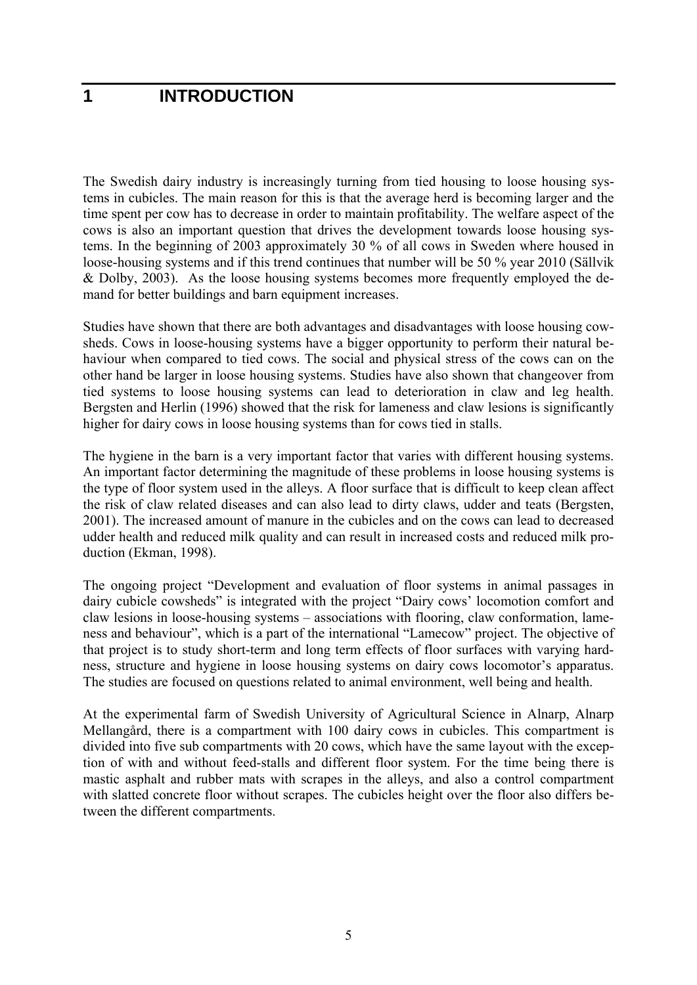## **1 INTRODUCTION**

The Swedish dairy industry is increasingly turning from tied housing to loose housing systems in cubicles. The main reason for this is that the average herd is becoming larger and the time spent per cow has to decrease in order to maintain profitability. The welfare aspect of the cows is also an important question that drives the development towards loose housing systems. In the beginning of 2003 approximately 30 % of all cows in Sweden where housed in loose-housing systems and if this trend continues that number will be 50 % year 2010 (Sällvik & Dolby, 2003). As the loose housing systems becomes more frequently employed the demand for better buildings and barn equipment increases.

Studies have shown that there are both advantages and disadvantages with loose housing cowsheds. Cows in loose-housing systems have a bigger opportunity to perform their natural behaviour when compared to tied cows. The social and physical stress of the cows can on the other hand be larger in loose housing systems. Studies have also shown that changeover from tied systems to loose housing systems can lead to deterioration in claw and leg health. Bergsten and Herlin (1996) showed that the risk for lameness and claw lesions is significantly higher for dairy cows in loose housing systems than for cows tied in stalls.

The hygiene in the barn is a very important factor that varies with different housing systems. An important factor determining the magnitude of these problems in loose housing systems is the type of floor system used in the alleys. A floor surface that is difficult to keep clean affect the risk of claw related diseases and can also lead to dirty claws, udder and teats (Bergsten, 2001). The increased amount of manure in the cubicles and on the cows can lead to decreased udder health and reduced milk quality and can result in increased costs and reduced milk production (Ekman, 1998).

The ongoing project "Development and evaluation of floor systems in animal passages in dairy cubicle cowsheds" is integrated with the project "Dairy cows' locomotion comfort and claw lesions in loose-housing systems – associations with flooring, claw conformation, lameness and behaviour", which is a part of the international "Lamecow" project. The objective of that project is to study short-term and long term effects of floor surfaces with varying hardness, structure and hygiene in loose housing systems on dairy cows locomotor's apparatus. The studies are focused on questions related to animal environment, well being and health.

At the experimental farm of Swedish University of Agricultural Science in Alnarp, Alnarp Mellangård, there is a compartment with 100 dairy cows in cubicles. This compartment is divided into five sub compartments with 20 cows, which have the same layout with the exception of with and without feed-stalls and different floor system. For the time being there is mastic asphalt and rubber mats with scrapes in the alleys, and also a control compartment with slatted concrete floor without scrapes. The cubicles height over the floor also differs between the different compartments.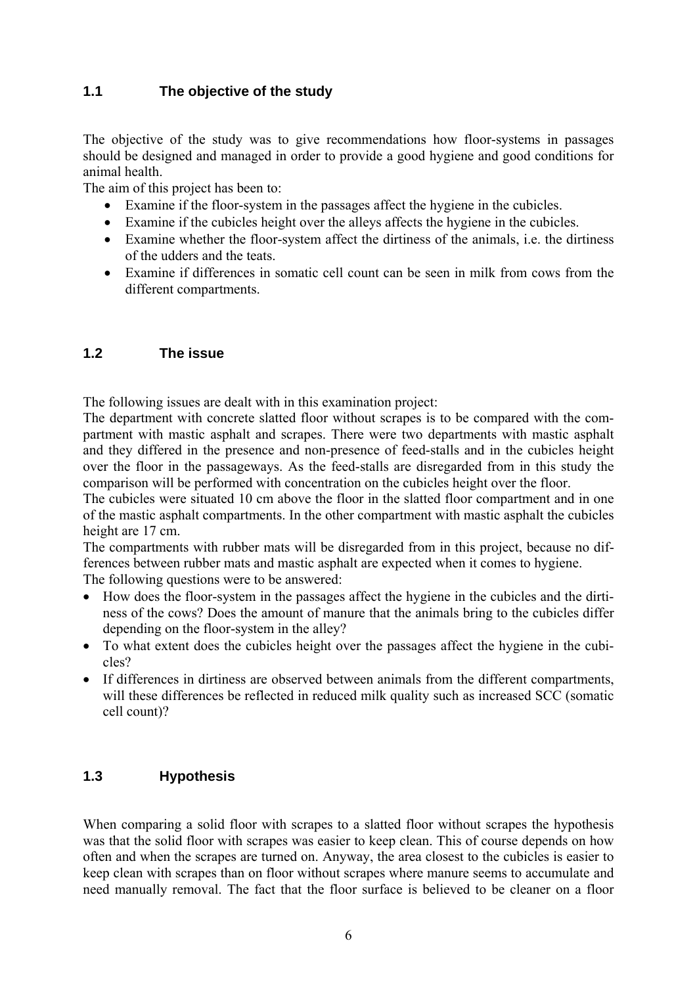## **1.1 The objective of the study**

The objective of the study was to give recommendations how floor-systems in passages should be designed and managed in order to provide a good hygiene and good conditions for animal health.

The aim of this project has been to:

- Examine if the floor-system in the passages affect the hygiene in the cubicles.
- Examine if the cubicles height over the alleys affects the hygiene in the cubicles.
- Examine whether the floor-system affect the dirtiness of the animals, i.e. the dirtiness of the udders and the teats.
- Examine if differences in somatic cell count can be seen in milk from cows from the different compartments.

## **1.2 The issue**

The following issues are dealt with in this examination project:

The department with concrete slatted floor without scrapes is to be compared with the compartment with mastic asphalt and scrapes. There were two departments with mastic asphalt and they differed in the presence and non-presence of feed-stalls and in the cubicles height over the floor in the passageways. As the feed-stalls are disregarded from in this study the comparison will be performed with concentration on the cubicles height over the floor.

The cubicles were situated 10 cm above the floor in the slatted floor compartment and in one of the mastic asphalt compartments. In the other compartment with mastic asphalt the cubicles height are 17 cm.

The compartments with rubber mats will be disregarded from in this project, because no differences between rubber mats and mastic asphalt are expected when it comes to hygiene.

The following questions were to be answered:

- How does the floor-system in the passages affect the hygiene in the cubicles and the dirtiness of the cows? Does the amount of manure that the animals bring to the cubicles differ depending on the floor-system in the alley?
- To what extent does the cubicles height over the passages affect the hygiene in the cubicles?
- If differences in dirtiness are observed between animals from the different compartments, will these differences be reflected in reduced milk quality such as increased SCC (somatic cell count)?

## **1.3 Hypothesis**

When comparing a solid floor with scrapes to a slatted floor without scrapes the hypothesis was that the solid floor with scrapes was easier to keep clean. This of course depends on how often and when the scrapes are turned on. Anyway, the area closest to the cubicles is easier to keep clean with scrapes than on floor without scrapes where manure seems to accumulate and need manually removal. The fact that the floor surface is believed to be cleaner on a floor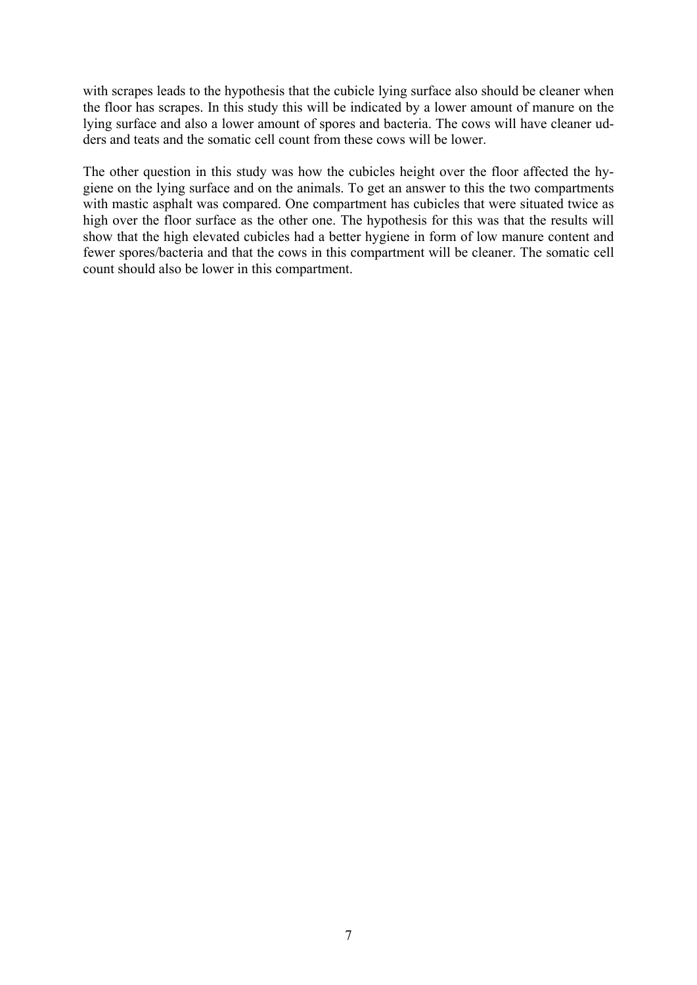with scrapes leads to the hypothesis that the cubicle lying surface also should be cleaner when the floor has scrapes. In this study this will be indicated by a lower amount of manure on the lying surface and also a lower amount of spores and bacteria. The cows will have cleaner udders and teats and the somatic cell count from these cows will be lower.

The other question in this study was how the cubicles height over the floor affected the hygiene on the lying surface and on the animals. To get an answer to this the two compartments with mastic asphalt was compared. One compartment has cubicles that were situated twice as high over the floor surface as the other one. The hypothesis for this was that the results will show that the high elevated cubicles had a better hygiene in form of low manure content and fewer spores/bacteria and that the cows in this compartment will be cleaner. The somatic cell count should also be lower in this compartment.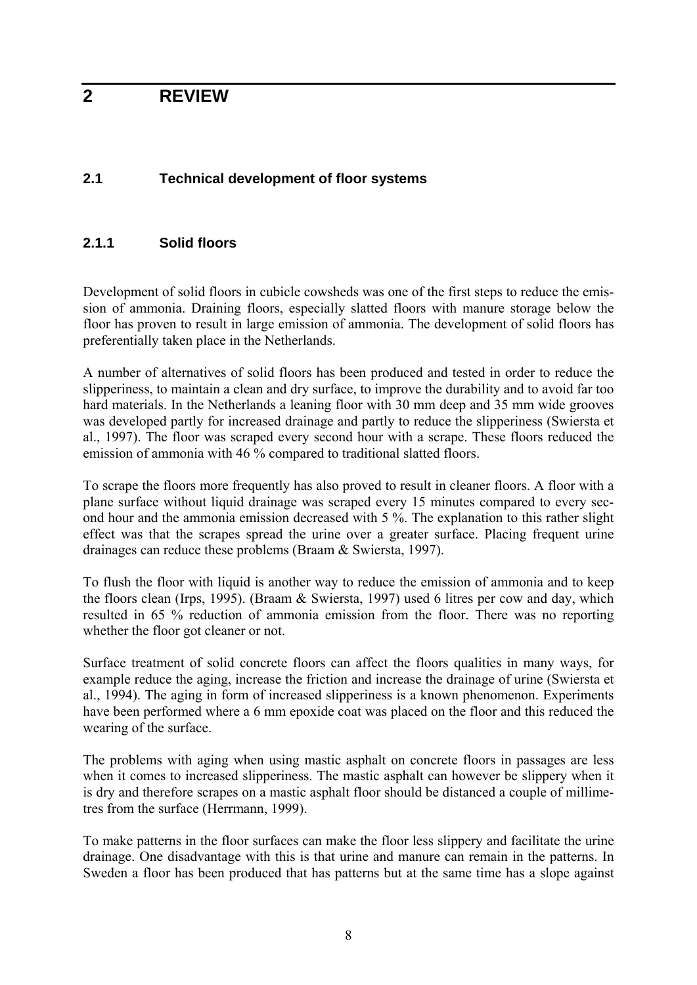## **2 REVIEW**

## **2.1 Technical development of floor systems**

### **2.1.1 Solid floors**

Development of solid floors in cubicle cowsheds was one of the first steps to reduce the emission of ammonia. Draining floors, especially slatted floors with manure storage below the floor has proven to result in large emission of ammonia. The development of solid floors has preferentially taken place in the Netherlands.

A number of alternatives of solid floors has been produced and tested in order to reduce the slipperiness, to maintain a clean and dry surface, to improve the durability and to avoid far too hard materials. In the Netherlands a leaning floor with 30 mm deep and 35 mm wide grooves was developed partly for increased drainage and partly to reduce the slipperiness (Swiersta et al., 1997). The floor was scraped every second hour with a scrape. These floors reduced the emission of ammonia with 46 % compared to traditional slatted floors.

To scrape the floors more frequently has also proved to result in cleaner floors. A floor with a plane surface without liquid drainage was scraped every 15 minutes compared to every second hour and the ammonia emission decreased with 5 %. The explanation to this rather slight effect was that the scrapes spread the urine over a greater surface. Placing frequent urine drainages can reduce these problems (Braam & Swiersta, 1997).

To flush the floor with liquid is another way to reduce the emission of ammonia and to keep the floors clean (Irps, 1995). (Braam & Swiersta, 1997) used 6 litres per cow and day, which resulted in 65 % reduction of ammonia emission from the floor. There was no reporting whether the floor got cleaner or not.

Surface treatment of solid concrete floors can affect the floors qualities in many ways, for example reduce the aging, increase the friction and increase the drainage of urine (Swiersta et al., 1994). The aging in form of increased slipperiness is a known phenomenon. Experiments have been performed where a 6 mm epoxide coat was placed on the floor and this reduced the wearing of the surface.

The problems with aging when using mastic asphalt on concrete floors in passages are less when it comes to increased slipperiness. The mastic asphalt can however be slippery when it is dry and therefore scrapes on a mastic asphalt floor should be distanced a couple of millimetres from the surface (Herrmann, 1999).

To make patterns in the floor surfaces can make the floor less slippery and facilitate the urine drainage. One disadvantage with this is that urine and manure can remain in the patterns. In Sweden a floor has been produced that has patterns but at the same time has a slope against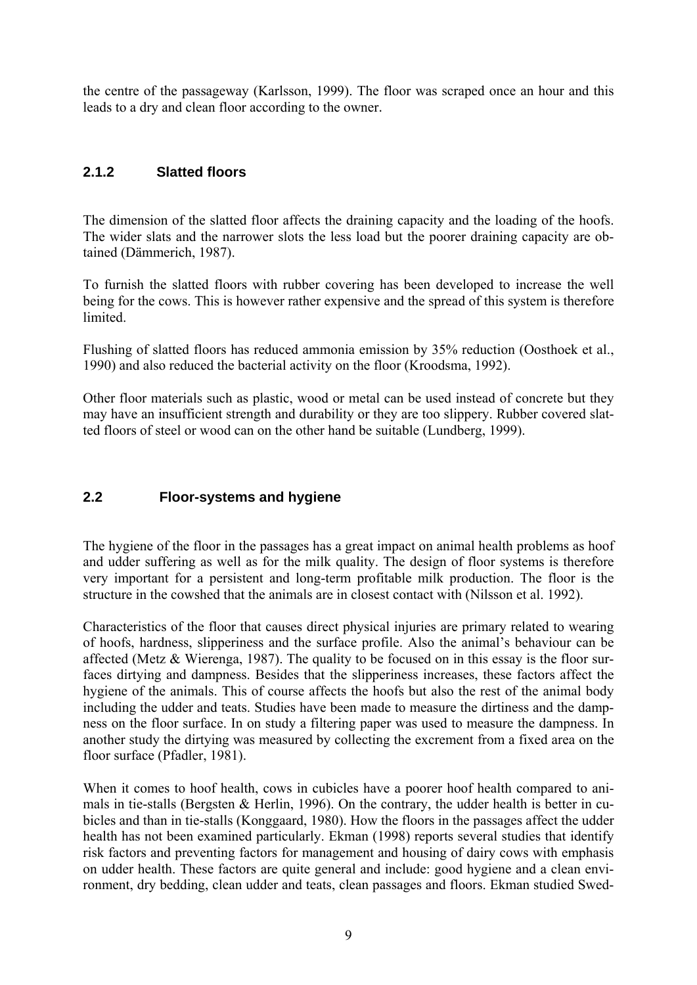the centre of the passageway (Karlsson, 1999). The floor was scraped once an hour and this leads to a dry and clean floor according to the owner.

## **2.1.2 Slatted floors**

The dimension of the slatted floor affects the draining capacity and the loading of the hoofs. The wider slats and the narrower slots the less load but the poorer draining capacity are obtained (Dämmerich, 1987).

To furnish the slatted floors with rubber covering has been developed to increase the well being for the cows. This is however rather expensive and the spread of this system is therefore limited.

Flushing of slatted floors has reduced ammonia emission by 35% reduction (Oosthoek et al., 1990) and also reduced the bacterial activity on the floor (Kroodsma, 1992).

Other floor materials such as plastic, wood or metal can be used instead of concrete but they may have an insufficient strength and durability or they are too slippery. Rubber covered slatted floors of steel or wood can on the other hand be suitable (Lundberg, 1999).

## **2.2 Floor-systems and hygiene**

The hygiene of the floor in the passages has a great impact on animal health problems as hoof and udder suffering as well as for the milk quality. The design of floor systems is therefore very important for a persistent and long-term profitable milk production. The floor is the structure in the cowshed that the animals are in closest contact with (Nilsson et al. 1992).

Characteristics of the floor that causes direct physical injuries are primary related to wearing of hoofs, hardness, slipperiness and the surface profile. Also the animal's behaviour can be affected (Metz & Wierenga, 1987). The quality to be focused on in this essay is the floor surfaces dirtying and dampness. Besides that the slipperiness increases, these factors affect the hygiene of the animals. This of course affects the hoofs but also the rest of the animal body including the udder and teats. Studies have been made to measure the dirtiness and the dampness on the floor surface. In on study a filtering paper was used to measure the dampness. In another study the dirtying was measured by collecting the excrement from a fixed area on the floor surface (Pfadler, 1981).

When it comes to hoof health, cows in cubicles have a poorer hoof health compared to animals in tie-stalls (Bergsten & Herlin, 1996). On the contrary, the udder health is better in cubicles and than in tie-stalls (Konggaard, 1980). How the floors in the passages affect the udder health has not been examined particularly. Ekman (1998) reports several studies that identify risk factors and preventing factors for management and housing of dairy cows with emphasis on udder health. These factors are quite general and include: good hygiene and a clean environment, dry bedding, clean udder and teats, clean passages and floors. Ekman studied Swed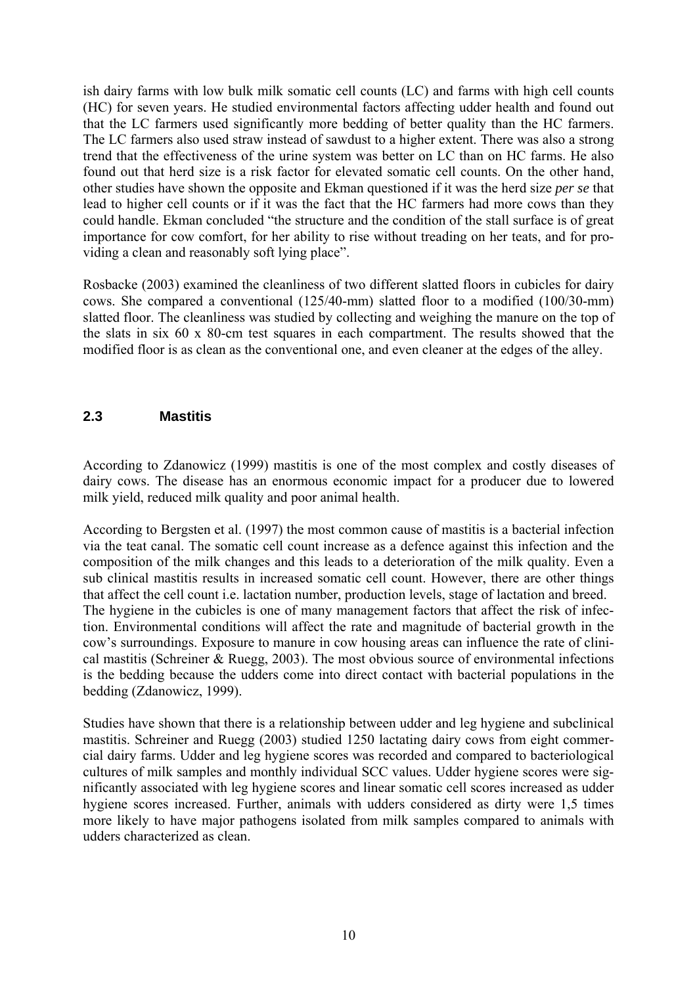ish dairy farms with low bulk milk somatic cell counts (LC) and farms with high cell counts (HC) for seven years. He studied environmental factors affecting udder health and found out that the LC farmers used significantly more bedding of better quality than the HC farmers. The LC farmers also used straw instead of sawdust to a higher extent. There was also a strong trend that the effectiveness of the urine system was better on LC than on HC farms. He also found out that herd size is a risk factor for elevated somatic cell counts. On the other hand, other studies have shown the opposite and Ekman questioned if it was the herd size *per se* that lead to higher cell counts or if it was the fact that the HC farmers had more cows than they could handle. Ekman concluded "the structure and the condition of the stall surface is of great importance for cow comfort, for her ability to rise without treading on her teats, and for providing a clean and reasonably soft lying place".

Rosbacke (2003) examined the cleanliness of two different slatted floors in cubicles for dairy cows. She compared a conventional (125/40-mm) slatted floor to a modified (100/30-mm) slatted floor. The cleanliness was studied by collecting and weighing the manure on the top of the slats in six 60 x 80-cm test squares in each compartment. The results showed that the modified floor is as clean as the conventional one, and even cleaner at the edges of the alley.

### **2.3 Mastitis**

According to Zdanowicz (1999) mastitis is one of the most complex and costly diseases of dairy cows. The disease has an enormous economic impact for a producer due to lowered milk yield, reduced milk quality and poor animal health.

According to Bergsten et al. (1997) the most common cause of mastitis is a bacterial infection via the teat canal. The somatic cell count increase as a defence against this infection and the composition of the milk changes and this leads to a deterioration of the milk quality. Even a sub clinical mastitis results in increased somatic cell count. However, there are other things that affect the cell count i.e. lactation number, production levels, stage of lactation and breed. The hygiene in the cubicles is one of many management factors that affect the risk of infection. Environmental conditions will affect the rate and magnitude of bacterial growth in the cow's surroundings. Exposure to manure in cow housing areas can influence the rate of clinical mastitis (Schreiner & Ruegg, 2003). The most obvious source of environmental infections is the bedding because the udders come into direct contact with bacterial populations in the bedding (Zdanowicz, 1999).

Studies have shown that there is a relationship between udder and leg hygiene and subclinical mastitis. Schreiner and Ruegg (2003) studied 1250 lactating dairy cows from eight commercial dairy farms. Udder and leg hygiene scores was recorded and compared to bacteriological cultures of milk samples and monthly individual SCC values. Udder hygiene scores were significantly associated with leg hygiene scores and linear somatic cell scores increased as udder hygiene scores increased. Further, animals with udders considered as dirty were 1,5 times more likely to have major pathogens isolated from milk samples compared to animals with udders characterized as clean.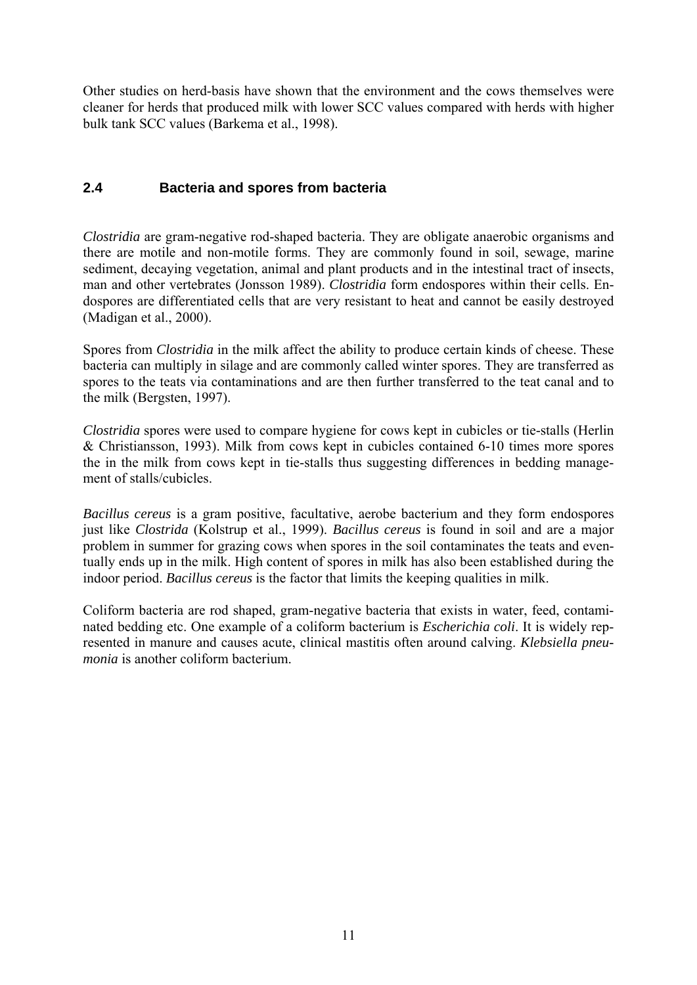Other studies on herd-basis have shown that the environment and the cows themselves were cleaner for herds that produced milk with lower SCC values compared with herds with higher bulk tank SCC values (Barkema et al., 1998).

## **2.4 Bacteria and spores from bacteria**

*Clostridia* are gram-negative rod-shaped bacteria. They are obligate anaerobic organisms and there are motile and non-motile forms. They are commonly found in soil, sewage, marine sediment, decaying vegetation, animal and plant products and in the intestinal tract of insects, man and other vertebrates (Jonsson 1989). *Clostridia* form endospores within their cells. Endospores are differentiated cells that are very resistant to heat and cannot be easily destroyed (Madigan et al., 2000).

Spores from *Clostridia* in the milk affect the ability to produce certain kinds of cheese. These bacteria can multiply in silage and are commonly called winter spores. They are transferred as spores to the teats via contaminations and are then further transferred to the teat canal and to the milk (Bergsten, 1997).

*Clostridia* spores were used to compare hygiene for cows kept in cubicles or tie-stalls (Herlin & Christiansson, 1993). Milk from cows kept in cubicles contained 6-10 times more spores the in the milk from cows kept in tie-stalls thus suggesting differences in bedding management of stalls/cubicles.

*Bacillus cereus* is a gram positive, facultative, aerobe bacterium and they form endospores just like *Clostrida* (Kolstrup et al., 1999). *Bacillus cereus* is found in soil and are a major problem in summer for grazing cows when spores in the soil contaminates the teats and eventually ends up in the milk. High content of spores in milk has also been established during the indoor period. *Bacillus cereus* is the factor that limits the keeping qualities in milk.

Coliform bacteria are rod shaped, gram-negative bacteria that exists in water, feed, contaminated bedding etc. One example of a coliform bacterium is *Escherichia coli*. It is widely represented in manure and causes acute, clinical mastitis often around calving. *Klebsiella pneumonia* is another coliform bacterium.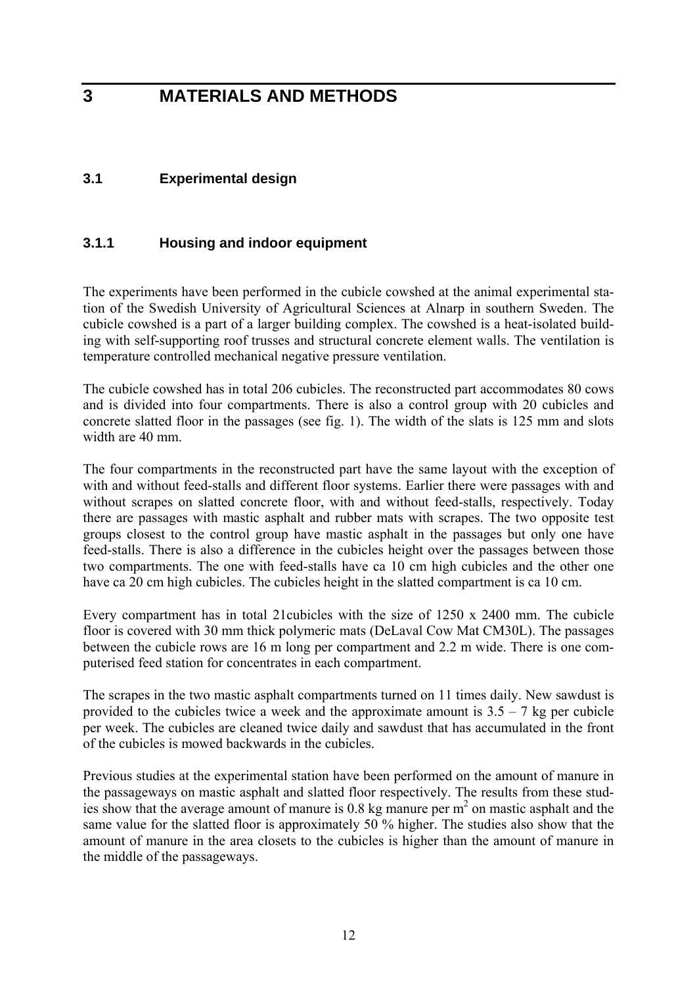## **3 MATERIALS AND METHODS**

## **3.1 Experimental design**

### **3.1.1 Housing and indoor equipment**

The experiments have been performed in the cubicle cowshed at the animal experimental station of the Swedish University of Agricultural Sciences at Alnarp in southern Sweden. The cubicle cowshed is a part of a larger building complex. The cowshed is a heat-isolated building with self-supporting roof trusses and structural concrete element walls. The ventilation is temperature controlled mechanical negative pressure ventilation.

The cubicle cowshed has in total 206 cubicles. The reconstructed part accommodates 80 cows and is divided into four compartments. There is also a control group with 20 cubicles and concrete slatted floor in the passages (see fig. 1). The width of the slats is 125 mm and slots width are 40 mm.

The four compartments in the reconstructed part have the same layout with the exception of with and without feed-stalls and different floor systems. Earlier there were passages with and without scrapes on slatted concrete floor, with and without feed-stalls, respectively. Today there are passages with mastic asphalt and rubber mats with scrapes. The two opposite test groups closest to the control group have mastic asphalt in the passages but only one have feed-stalls. There is also a difference in the cubicles height over the passages between those two compartments. The one with feed-stalls have ca 10 cm high cubicles and the other one have ca 20 cm high cubicles. The cubicles height in the slatted compartment is ca 10 cm.

Every compartment has in total 21cubicles with the size of 1250 x 2400 mm. The cubicle floor is covered with 30 mm thick polymeric mats (DeLaval Cow Mat CM30L). The passages between the cubicle rows are 16 m long per compartment and 2.2 m wide. There is one computerised feed station for concentrates in each compartment.

The scrapes in the two mastic asphalt compartments turned on 11 times daily. New sawdust is provided to the cubicles twice a week and the approximate amount is  $3.5 - 7$  kg per cubicle per week. The cubicles are cleaned twice daily and sawdust that has accumulated in the front of the cubicles is mowed backwards in the cubicles.

Previous studies at the experimental station have been performed on the amount of manure in the passageways on mastic asphalt and slatted floor respectively. The results from these studies show that the average amount of manure is  $0.8 \text{ kg}$  manure per  $m<sup>2</sup>$  on mastic asphalt and the same value for the slatted floor is approximately 50 % higher. The studies also show that the amount of manure in the area closets to the cubicles is higher than the amount of manure in the middle of the passageways.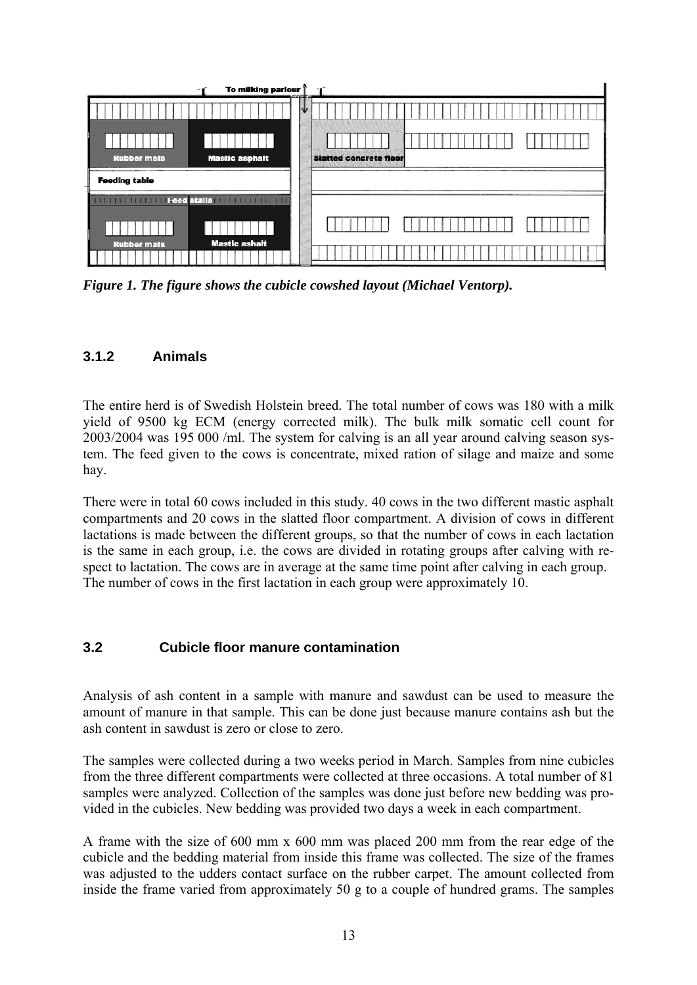| To milking parlour 1                                         |                               |
|--------------------------------------------------------------|-------------------------------|
|                                                              |                               |
| <b>Mastic asphalt</b><br><b>Rubber mats</b>                  | <b>Slatted concrete floor</b> |
| <b>Feeding table</b>                                         |                               |
| <b>TELEVision Feed stalls (COLLECTED FOR EXPERIENCE</b><br>. |                               |
|                                                              |                               |
| <b>Mastic ashalt</b><br><b>Rubber mats</b>                   |                               |

*Figure 1. The figure shows the cubicle cowshed layout (Michael Ventorp).* 

## **3.1.2 Animals**

The entire herd is of Swedish Holstein breed. The total number of cows was 180 with a milk yield of 9500 kg ECM (energy corrected milk). The bulk milk somatic cell count for 2003/2004 was 195 000 /ml. The system for calving is an all year around calving season system. The feed given to the cows is concentrate, mixed ration of silage and maize and some hay.

There were in total 60 cows included in this study. 40 cows in the two different mastic asphalt compartments and 20 cows in the slatted floor compartment. A division of cows in different lactations is made between the different groups, so that the number of cows in each lactation is the same in each group, i.e. the cows are divided in rotating groups after calving with respect to lactation. The cows are in average at the same time point after calving in each group. The number of cows in the first lactation in each group were approximately 10.

## **3.2 Cubicle floor manure contamination**

Analysis of ash content in a sample with manure and sawdust can be used to measure the amount of manure in that sample. This can be done just because manure contains ash but the ash content in sawdust is zero or close to zero.

The samples were collected during a two weeks period in March. Samples from nine cubicles from the three different compartments were collected at three occasions. A total number of 81 samples were analyzed. Collection of the samples was done just before new bedding was provided in the cubicles. New bedding was provided two days a week in each compartment.

A frame with the size of 600 mm x 600 mm was placed 200 mm from the rear edge of the cubicle and the bedding material from inside this frame was collected. The size of the frames was adjusted to the udders contact surface on the rubber carpet. The amount collected from inside the frame varied from approximately 50 g to a couple of hundred grams. The samples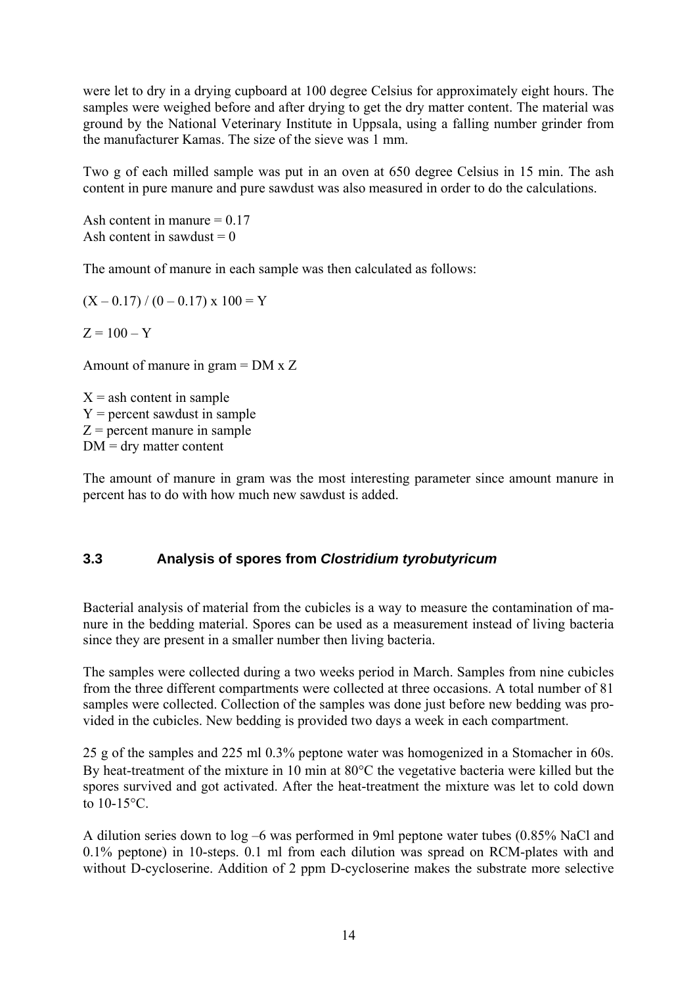were let to dry in a drying cupboard at 100 degree Celsius for approximately eight hours. The samples were weighed before and after drying to get the dry matter content. The material was ground by the National Veterinary Institute in Uppsala, using a falling number grinder from the manufacturer Kamas. The size of the sieve was 1 mm.

Two g of each milled sample was put in an oven at 650 degree Celsius in 15 min. The ash content in pure manure and pure sawdust was also measured in order to do the calculations.

Ash content in manure  $= 0.17$ Ash content in sawdust  $= 0$ 

The amount of manure in each sample was then calculated as follows:

 $(X - 0.17) / (0 - 0.17) \times 100 = Y$ 

 $Z = 100 - Y$ 

Amount of manure in gram = DM x Z

 $X =$ ash content in sample  $Y =$  percent sawdust in sample  $Z =$  percent manure in sample  $DM =$  dry matter content

The amount of manure in gram was the most interesting parameter since amount manure in percent has to do with how much new sawdust is added.

## **3.3 Analysis of spores from** *Clostridium tyrobutyricum*

Bacterial analysis of material from the cubicles is a way to measure the contamination of manure in the bedding material. Spores can be used as a measurement instead of living bacteria since they are present in a smaller number then living bacteria.

The samples were collected during a two weeks period in March. Samples from nine cubicles from the three different compartments were collected at three occasions. A total number of 81 samples were collected. Collection of the samples was done just before new bedding was provided in the cubicles. New bedding is provided two days a week in each compartment.

25 g of the samples and 225 ml 0.3% peptone water was homogenized in a Stomacher in 60s. By heat-treatment of the mixture in 10 min at 80°C the vegetative bacteria were killed but the spores survived and got activated. After the heat-treatment the mixture was let to cold down to  $10-15$ °C.

A dilution series down to log –6 was performed in 9ml peptone water tubes (0.85% NaCl and 0.1% peptone) in 10-steps. 0.1 ml from each dilution was spread on RCM-plates with and without D-cycloserine. Addition of 2 ppm D-cycloserine makes the substrate more selective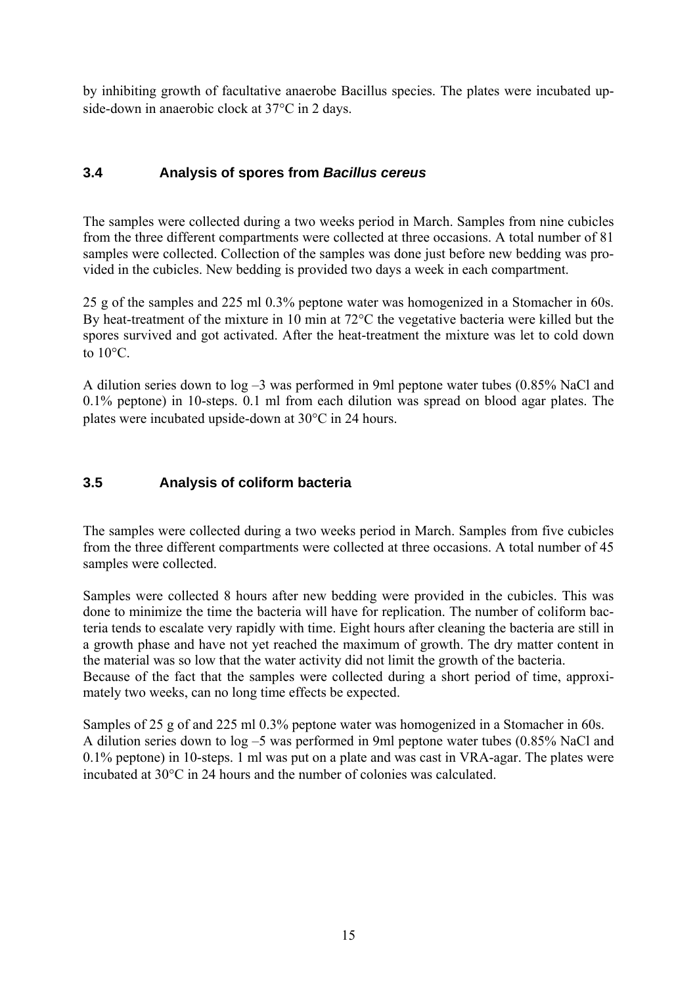by inhibiting growth of facultative anaerobe Bacillus species. The plates were incubated upside-down in anaerobic clock at 37°C in 2 days.

## **3.4 Analysis of spores from** *Bacillus cereus*

The samples were collected during a two weeks period in March. Samples from nine cubicles from the three different compartments were collected at three occasions. A total number of 81 samples were collected. Collection of the samples was done just before new bedding was provided in the cubicles. New bedding is provided two days a week in each compartment.

25 g of the samples and 225 ml 0.3% peptone water was homogenized in a Stomacher in 60s. By heat-treatment of the mixture in 10 min at 72°C the vegetative bacteria were killed but the spores survived and got activated. After the heat-treatment the mixture was let to cold down to  $10^{\circ}$ C.

A dilution series down to log –3 was performed in 9ml peptone water tubes (0.85% NaCl and 0.1% peptone) in 10-steps. 0.1 ml from each dilution was spread on blood agar plates. The plates were incubated upside-down at 30°C in 24 hours.

## **3.5 Analysis of coliform bacteria**

The samples were collected during a two weeks period in March. Samples from five cubicles from the three different compartments were collected at three occasions. A total number of 45 samples were collected.

Samples were collected 8 hours after new bedding were provided in the cubicles. This was done to minimize the time the bacteria will have for replication. The number of coliform bacteria tends to escalate very rapidly with time. Eight hours after cleaning the bacteria are still in a growth phase and have not yet reached the maximum of growth. The dry matter content in the material was so low that the water activity did not limit the growth of the bacteria. Because of the fact that the samples were collected during a short period of time, approximately two weeks, can no long time effects be expected.

Samples of 25 g of and 225 ml 0.3% peptone water was homogenized in a Stomacher in 60s. A dilution series down to log –5 was performed in 9ml peptone water tubes (0.85% NaCl and 0.1% peptone) in 10-steps. 1 ml was put on a plate and was cast in VRA-agar. The plates were incubated at 30°C in 24 hours and the number of colonies was calculated.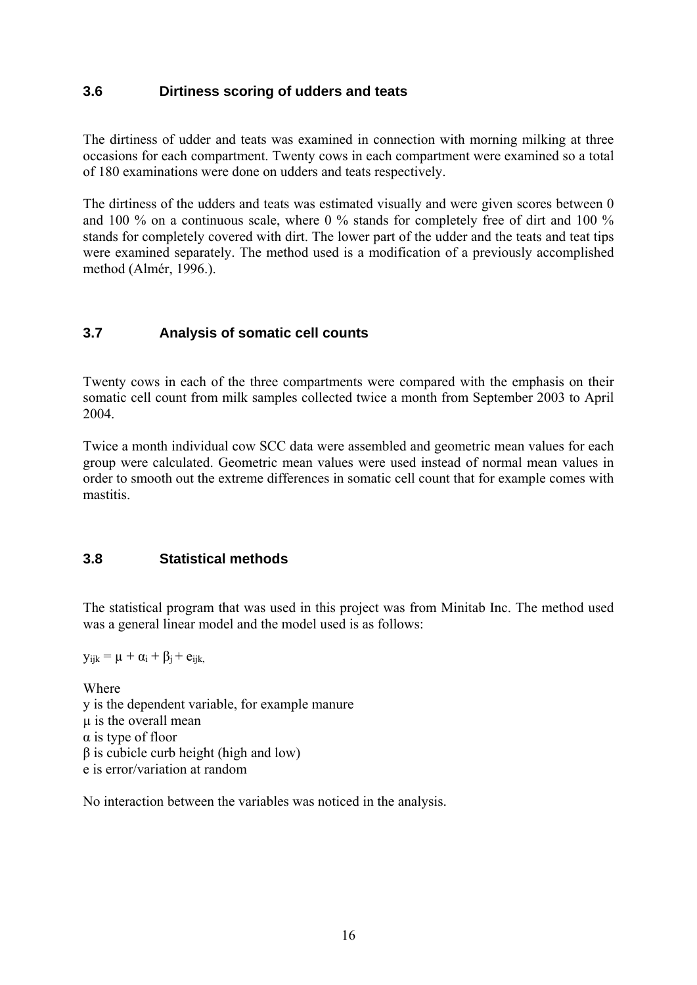### **3.6 Dirtiness scoring of udders and teats**

The dirtiness of udder and teats was examined in connection with morning milking at three occasions for each compartment. Twenty cows in each compartment were examined so a total of 180 examinations were done on udders and teats respectively.

The dirtiness of the udders and teats was estimated visually and were given scores between 0 and 100 % on a continuous scale, where 0 % stands for completely free of dirt and 100 % stands for completely covered with dirt. The lower part of the udder and the teats and teat tips were examined separately. The method used is a modification of a previously accomplished method (Almér, 1996.).

## **3.7 Analysis of somatic cell counts**

Twenty cows in each of the three compartments were compared with the emphasis on their somatic cell count from milk samples collected twice a month from September 2003 to April 2004.

Twice a month individual cow SCC data were assembled and geometric mean values for each group were calculated. Geometric mean values were used instead of normal mean values in order to smooth out the extreme differences in somatic cell count that for example comes with mastitis.

### **3.8 Statistical methods**

The statistical program that was used in this project was from Minitab Inc. The method used was a general linear model and the model used is as follows:

 $y_{ijk} = \mu + \alpha_i + \beta_i + e_{ijk}$ 

Where y is the dependent variable, for example manure µ is the overall mean α is type of floor β is cubicle curb height (high and low) e is error/variation at random

No interaction between the variables was noticed in the analysis.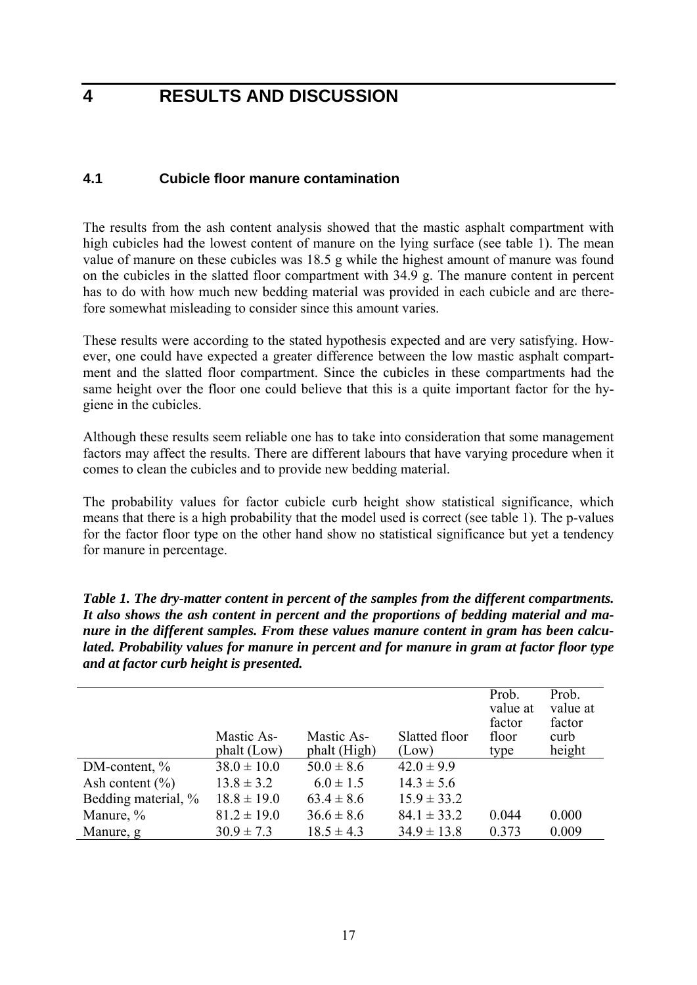## **4 RESULTS AND DISCUSSION**

### **4.1 Cubicle floor manure contamination**

The results from the ash content analysis showed that the mastic asphalt compartment with high cubicles had the lowest content of manure on the lying surface (see table 1). The mean value of manure on these cubicles was 18.5 g while the highest amount of manure was found on the cubicles in the slatted floor compartment with 34.9 g. The manure content in percent has to do with how much new bedding material was provided in each cubicle and are therefore somewhat misleading to consider since this amount varies.

These results were according to the stated hypothesis expected and are very satisfying. However, one could have expected a greater difference between the low mastic asphalt compartment and the slatted floor compartment. Since the cubicles in these compartments had the same height over the floor one could believe that this is a quite important factor for the hygiene in the cubicles.

Although these results seem reliable one has to take into consideration that some management factors may affect the results. There are different labours that have varying procedure when it comes to clean the cubicles and to provide new bedding material.

The probability values for factor cubicle curb height show statistical significance, which means that there is a high probability that the model used is correct (see table 1). The p-values for the factor floor type on the other hand show no statistical significance but yet a tendency for manure in percentage.

*Table 1. The dry-matter content in percent of the samples from the different compartments. It also shows the ash content in percent and the proportions of bedding material and manure in the different samples. From these values manure content in gram has been calculated. Probability values for manure in percent and for manure in gram at factor floor type and at factor curb height is presented.* 

|                     | Mastic As-<br>phalt (Low) | Mastic As-<br>phalt (High) | Slatted floor<br>(Low) | Prob.<br>value at<br>factor<br>floor<br>type | Prob.<br>value at<br>factor<br>curb<br>height |
|---------------------|---------------------------|----------------------------|------------------------|----------------------------------------------|-----------------------------------------------|
| $DM$ -content, $\%$ | $38.0 \pm 10.0$           | $50.0 \pm 8.6$             | $42.0 \pm 9.9$         |                                              |                                               |
| Ash content $(\% )$ | $13.8 \pm 3.2$            | $6.0 \pm 1.5$              | $14.3 \pm 5.6$         |                                              |                                               |
| Bedding material, % | $18.8 \pm 19.0$           | $63.4 \pm 8.6$             | $15.9 \pm 33.2$        |                                              |                                               |
| Manure, %           | $81.2 \pm 19.0$           | $36.6 \pm 8.6$             | $84.1 \pm 33.2$        | 0.044                                        | 0.000                                         |
| Manure, g           | $30.9 \pm 7.3$            | $18.5 \pm 4.3$             | $34.9 \pm 13.8$        | 0.373                                        | 0.009                                         |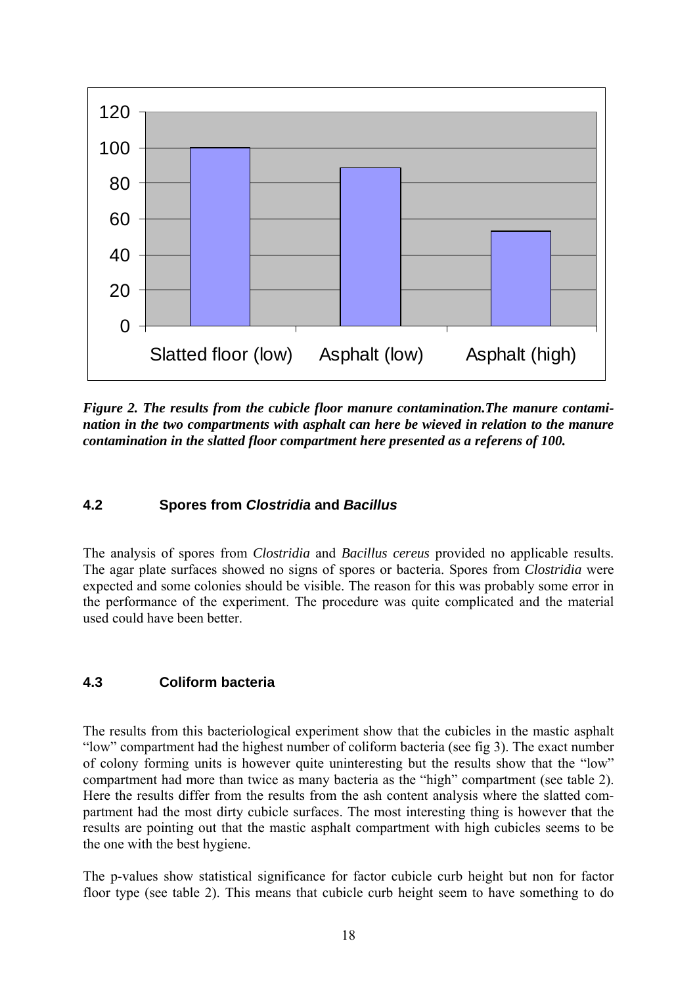

*Figure 2. The results from the cubicle floor manure contamination.The manure contamination in the two compartments with asphalt can here be wieved in relation to the manure contamination in the slatted floor compartment here presented as a referens of 100.* 

### **4.2 Spores from** *Clostridia* **and** *Bacillus*

The analysis of spores from *Clostridia* and *Bacillus cereus* provided no applicable results. The agar plate surfaces showed no signs of spores or bacteria. Spores from *Clostridia* were expected and some colonies should be visible. The reason for this was probably some error in the performance of the experiment. The procedure was quite complicated and the material used could have been better.

#### **4.3 Coliform bacteria**

The results from this bacteriological experiment show that the cubicles in the mastic asphalt "low" compartment had the highest number of coliform bacteria (see fig 3). The exact number of colony forming units is however quite uninteresting but the results show that the "low" compartment had more than twice as many bacteria as the "high" compartment (see table 2). Here the results differ from the results from the ash content analysis where the slatted compartment had the most dirty cubicle surfaces. The most interesting thing is however that the results are pointing out that the mastic asphalt compartment with high cubicles seems to be the one with the best hygiene.

The p-values show statistical significance for factor cubicle curb height but non for factor floor type (see table 2). This means that cubicle curb height seem to have something to do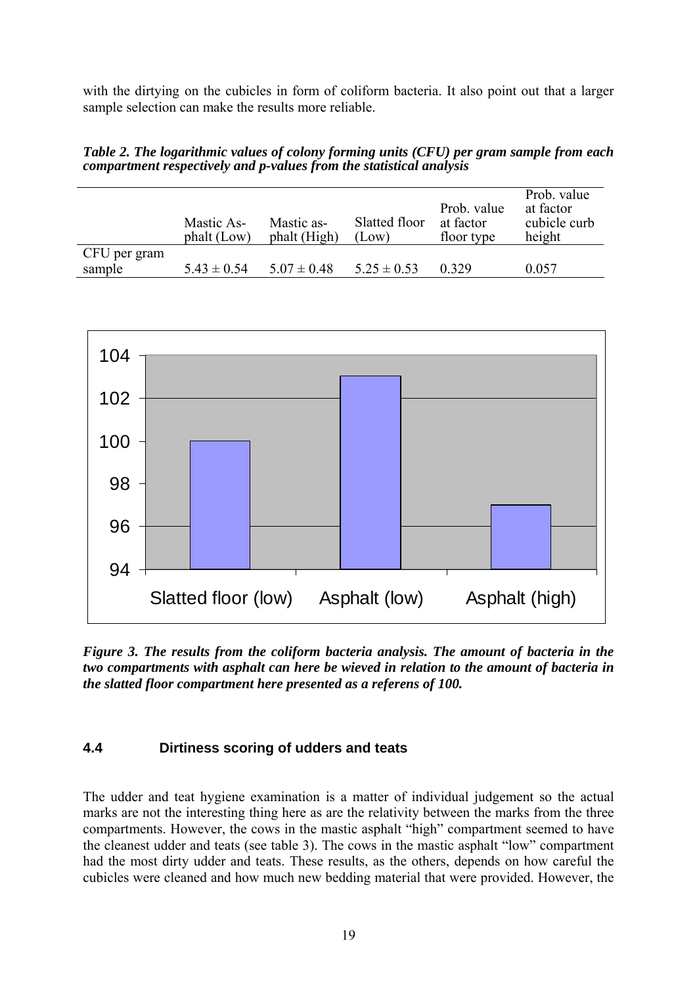with the dirtying on the cubicles in form of coliform bacteria. It also point out that a larger sample selection can make the results more reliable.

*Table 2. The logarithmic values of colony forming units (CFU) per gram sample from each compartment respectively and p-values from the statistical analysis* 

|              | Mastic As-<br>phalt (Low) | Mastic as-<br>phalt (High) | Slatted floor<br>(Low) | Prob. value<br>at factor<br>floor type | Prob. value<br>at factor<br>cubicle curb<br>height |
|--------------|---------------------------|----------------------------|------------------------|----------------------------------------|----------------------------------------------------|
| CFU per gram |                           |                            |                        |                                        |                                                    |
| sample       | $5.43 \pm 0.54$           | $5.07 \pm 0.48$            | $5.25 \pm 0.53$        | 0 3 2 9                                | 0.057                                              |



*Figure 3. The results from the coliform bacteria analysis. The amount of bacteria in the two compartments with asphalt can here be wieved in relation to the amount of bacteria in the slatted floor compartment here presented as a referens of 100.* 

### **4.4 Dirtiness scoring of udders and teats**

The udder and teat hygiene examination is a matter of individual judgement so the actual marks are not the interesting thing here as are the relativity between the marks from the three compartments. However, the cows in the mastic asphalt "high" compartment seemed to have the cleanest udder and teats (see table 3). The cows in the mastic asphalt "low" compartment had the most dirty udder and teats. These results, as the others, depends on how careful the cubicles were cleaned and how much new bedding material that were provided. However, the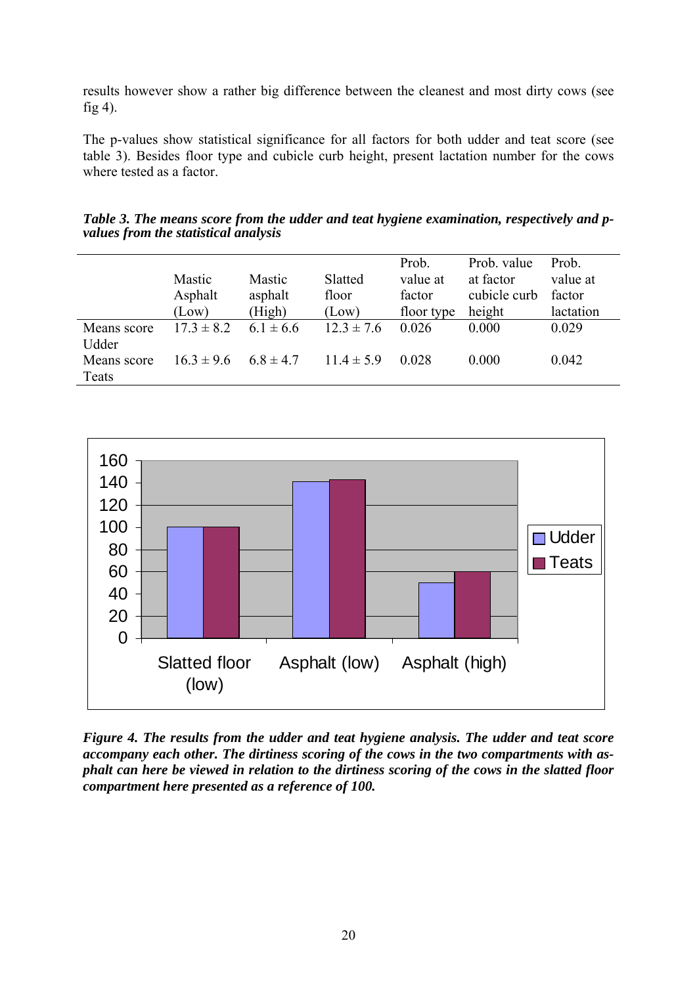results however show a rather big difference between the cleanest and most dirty cows (see fig 4).

The p-values show statistical significance for all factors for both udder and teat score (see table 3). Besides floor type and cubicle curb height, present lactation number for the cows where tested as a factor.

|             |                |               |                | Prob.      | Prob. value  | Prob.     |
|-------------|----------------|---------------|----------------|------------|--------------|-----------|
|             | Mastic         | Mastic        | Slatted        | value at   | at factor    | value at  |
|             | Asphalt        | asphalt       | floor          | factor     | cubicle curb | factor    |
|             | (Low)          | (High)        | (Low)          | floor type | height       | lactation |
| Means score | $17.3 \pm 8.2$ | $6.1 \pm 6.6$ | $12.3 \pm 7.6$ | 0.026      | 0.000        | 0.029     |
| Udder       |                |               |                |            |              |           |
| Means score | $16.3 \pm 9.6$ | $6.8 \pm 4.7$ | $11.4 \pm 5.9$ | 0.028      | 0.000        | 0.042     |
| Teats       |                |               |                |            |              |           |

*Table 3. The means score from the udder and teat hygiene examination, respectively and pvalues from the statistical analysis* 



*Figure 4. The results from the udder and teat hygiene analysis. The udder and teat score accompany each other. The dirtiness scoring of the cows in the two compartments with asphalt can here be viewed in relation to the dirtiness scoring of the cows in the slatted floor compartment here presented as a reference of 100.*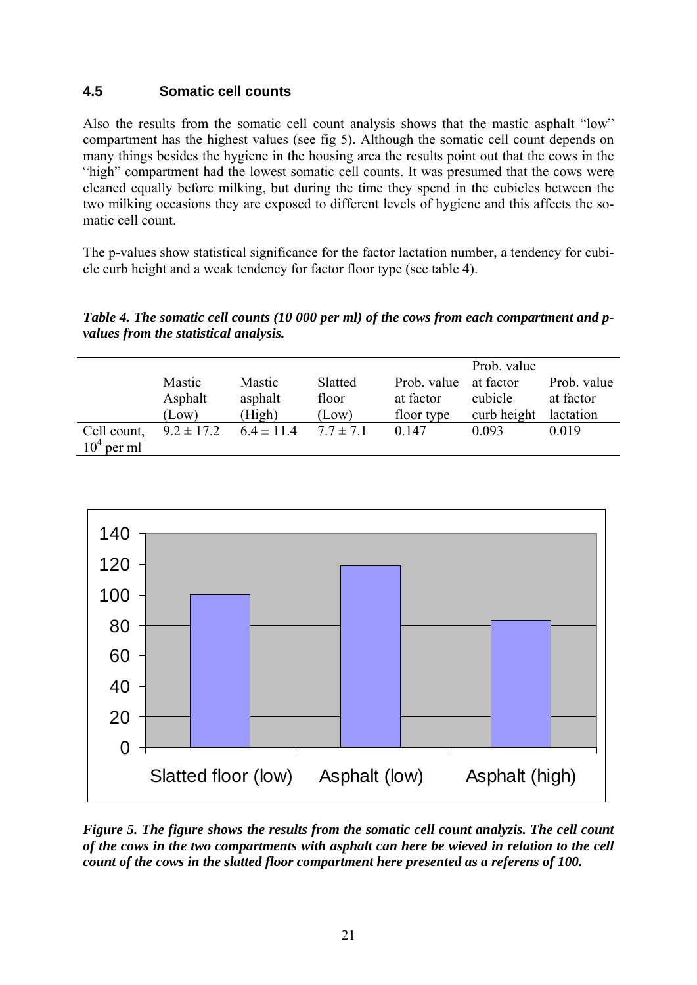## **4.5 Somatic cell counts**

Also the results from the somatic cell count analysis shows that the mastic asphalt "low" compartment has the highest values (see fig 5). Although the somatic cell count depends on many things besides the hygiene in the housing area the results point out that the cows in the "high" compartment had the lowest somatic cell counts. It was presumed that the cows were cleaned equally before milking, but during the time they spend in the cubicles between the two milking occasions they are exposed to different levels of hygiene and this affects the somatic cell count.

The p-values show statistical significance for the factor lactation number, a tendency for cubicle curb height and a weak tendency for factor floor type (see table 4).

*Table 4. The somatic cell counts (10 000 per ml) of the cows from each compartment and pvalues from the statistical analysis.* 

|              |                |                |               |             | Prob. value |             |
|--------------|----------------|----------------|---------------|-------------|-------------|-------------|
|              | Mastic         | Mastic         | Slatted       | Prob. value | at factor   | Prob. value |
|              | Asphalt        | asphalt        | floor         | at factor   | cubicle     | at factor   |
|              | (Low)          | (High)         | (Low)         | floor type  | curb height | lactation   |
| Cell count,  | $9.2 \pm 17.2$ | $6.4 \pm 11.4$ | $7.7 \pm 7.1$ | 0.147       | 0.093       | 0.019       |
| $104$ per ml |                |                |               |             |             |             |



*Figure 5. The figure shows the results from the somatic cell count analyzis. The cell count of the cows in the two compartments with asphalt can here be wieved in relation to the cell count of the cows in the slatted floor compartment here presented as a referens of 100.*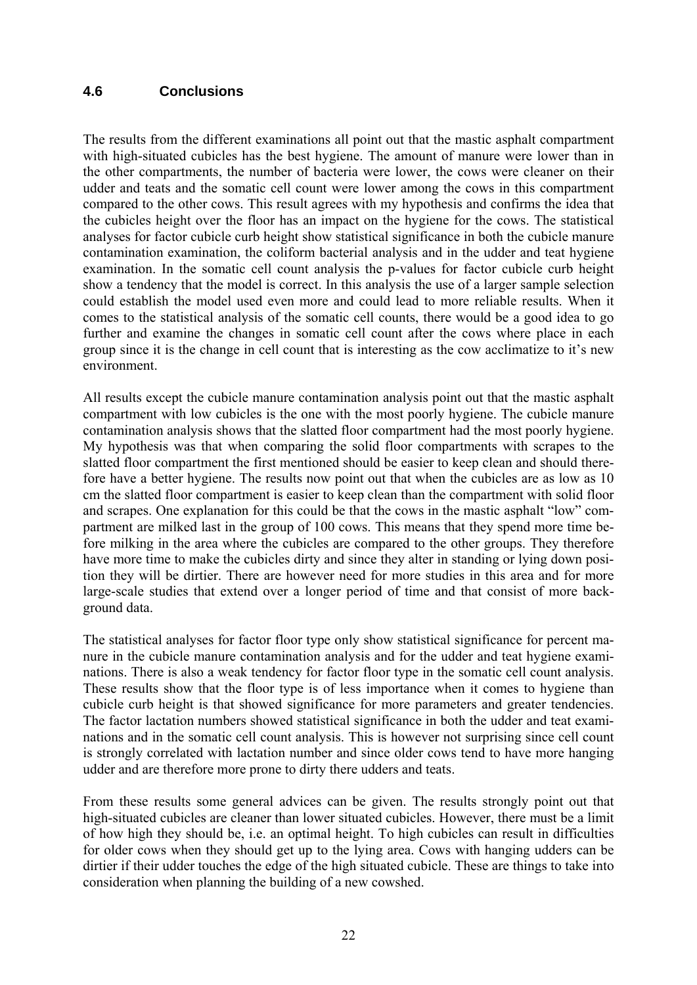### **4.6 Conclusions**

The results from the different examinations all point out that the mastic asphalt compartment with high-situated cubicles has the best hygiene. The amount of manure were lower than in the other compartments, the number of bacteria were lower, the cows were cleaner on their udder and teats and the somatic cell count were lower among the cows in this compartment compared to the other cows. This result agrees with my hypothesis and confirms the idea that the cubicles height over the floor has an impact on the hygiene for the cows. The statistical analyses for factor cubicle curb height show statistical significance in both the cubicle manure contamination examination, the coliform bacterial analysis and in the udder and teat hygiene examination. In the somatic cell count analysis the p-values for factor cubicle curb height show a tendency that the model is correct. In this analysis the use of a larger sample selection could establish the model used even more and could lead to more reliable results. When it comes to the statistical analysis of the somatic cell counts, there would be a good idea to go further and examine the changes in somatic cell count after the cows where place in each group since it is the change in cell count that is interesting as the cow acclimatize to it's new environment.

All results except the cubicle manure contamination analysis point out that the mastic asphalt compartment with low cubicles is the one with the most poorly hygiene. The cubicle manure contamination analysis shows that the slatted floor compartment had the most poorly hygiene. My hypothesis was that when comparing the solid floor compartments with scrapes to the slatted floor compartment the first mentioned should be easier to keep clean and should therefore have a better hygiene. The results now point out that when the cubicles are as low as 10 cm the slatted floor compartment is easier to keep clean than the compartment with solid floor and scrapes. One explanation for this could be that the cows in the mastic asphalt "low" compartment are milked last in the group of 100 cows. This means that they spend more time before milking in the area where the cubicles are compared to the other groups. They therefore have more time to make the cubicles dirty and since they alter in standing or lying down position they will be dirtier. There are however need for more studies in this area and for more large-scale studies that extend over a longer period of time and that consist of more background data.

The statistical analyses for factor floor type only show statistical significance for percent manure in the cubicle manure contamination analysis and for the udder and teat hygiene examinations. There is also a weak tendency for factor floor type in the somatic cell count analysis. These results show that the floor type is of less importance when it comes to hygiene than cubicle curb height is that showed significance for more parameters and greater tendencies. The factor lactation numbers showed statistical significance in both the udder and teat examinations and in the somatic cell count analysis. This is however not surprising since cell count is strongly correlated with lactation number and since older cows tend to have more hanging udder and are therefore more prone to dirty there udders and teats.

From these results some general advices can be given. The results strongly point out that high-situated cubicles are cleaner than lower situated cubicles. However, there must be a limit of how high they should be, i.e. an optimal height. To high cubicles can result in difficulties for older cows when they should get up to the lying area. Cows with hanging udders can be dirtier if their udder touches the edge of the high situated cubicle. These are things to take into consideration when planning the building of a new cowshed.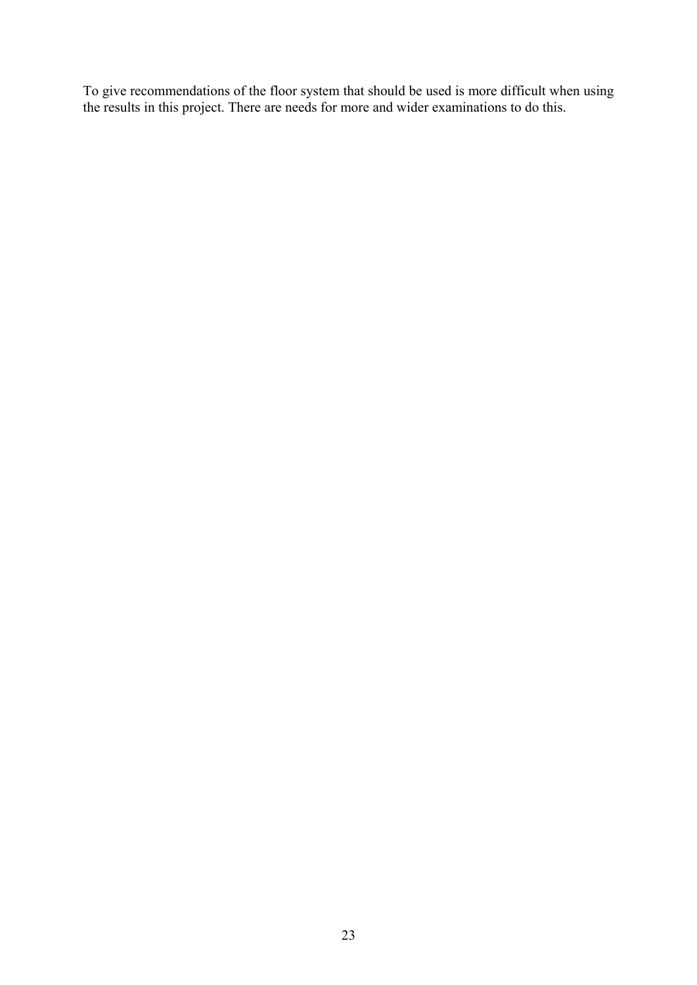To give recommendations of the floor system that should be used is more difficult when using the results in this project. There are needs for more and wider examinations to do this.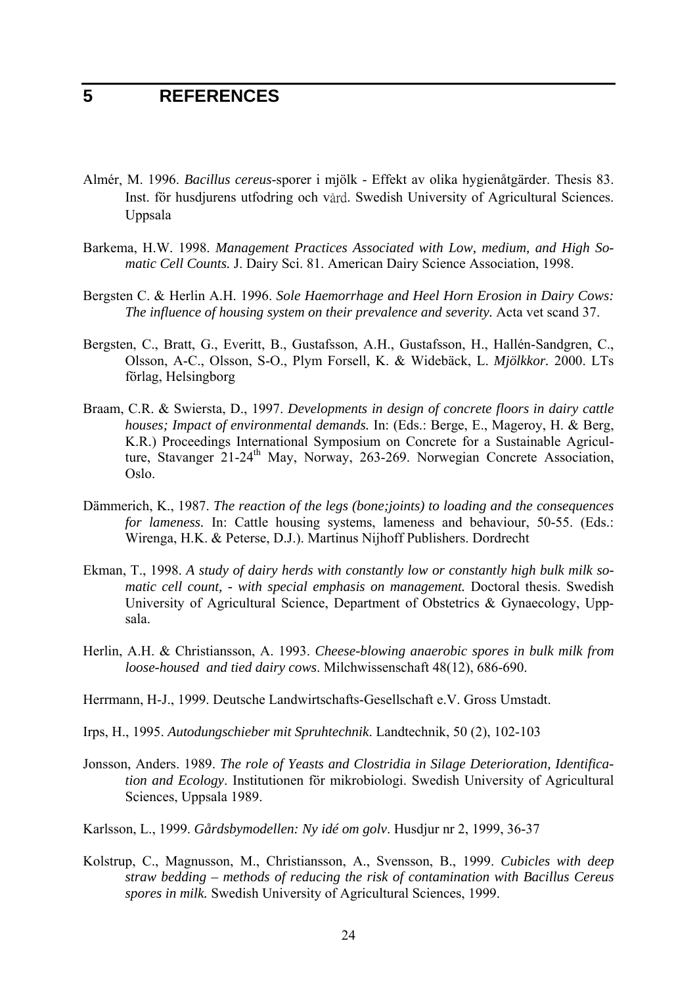## **5 REFERENCES**

- Almér, M. 1996. *Bacillus cereus*-sporer i mjölk Effekt av olika hygienåtgärder. Thesis 83. Inst. för husdjurens utfodring och vård. Swedish University of Agricultural Sciences. Uppsala
- Barkema, H.W. 1998. *Management Practices Associated with Low, medium, and High Somatic Cell Counts.* J. Dairy Sci. 81. American Dairy Science Association, 1998.
- Bergsten C. & Herlin A.H. 1996. *Sole Haemorrhage and Heel Horn Erosion in Dairy Cows: The influence of housing system on their prevalence and severity.* Acta vet scand 37.
- Bergsten, C., Bratt, G., Everitt, B., Gustafsson, A.H., Gustafsson, H., Hallén-Sandgren, C., Olsson, A-C., Olsson, S-O., Plym Forsell, K. & Widebäck, L. *Mjölkkor.* 2000. LTs förlag, Helsingborg
- Braam, C.R. & Swiersta, D., 1997. *Developments in design of concrete floors in dairy cattle houses; Impact of environmental demands.* In: (Eds.: Berge, E., Mageroy, H. & Berg, K.R.) Proceedings International Symposium on Concrete for a Sustainable Agriculture, Stavanger 21-24th May, Norway, 263-269. Norwegian Concrete Association, Oslo.
- Dämmerich, K., 1987. *The reaction of the legs (bone;joints) to loading and the consequences for lameness.* In: Cattle housing systems, lameness and behaviour, 50-55. (Eds.: Wirenga, H.K. & Peterse, D.J.). Martinus Nijhoff Publishers. Dordrecht
- Ekman, T., 1998. *A study of dairy herds with constantly low or constantly high bulk milk somatic cell count, - with special emphasis on management.* Doctoral thesis. Swedish University of Agricultural Science, Department of Obstetrics & Gynaecology, Uppsala.
- Herlin, A.H. & Christiansson, A. 1993. *Cheese-blowing anaerobic spores in bulk milk from loose-housed and tied dairy cows*. Milchwissenschaft 48(12), 686-690.
- Herrmann, H-J., 1999. Deutsche Landwirtschafts-Gesellschaft e.V. Gross Umstadt.
- Irps, H., 1995. *Autodungschieber mit Spruhtechnik*. Landtechnik, 50 (2), 102-103
- Jonsson, Anders. 1989. *The role of Yeasts and Clostridia in Silage Deterioration, Identification and Ecology*. Institutionen för mikrobiologi. Swedish University of Agricultural Sciences, Uppsala 1989.
- Karlsson, L., 1999. *Gårdsbymodellen: Ny idé om golv*. Husdjur nr 2, 1999, 36-37
- Kolstrup, C., Magnusson, M., Christiansson, A., Svensson, B., 1999. *Cubicles with deep straw bedding – methods of reducing the risk of contamination with Bacillus Cereus spores in milk.* Swedish University of Agricultural Sciences, 1999.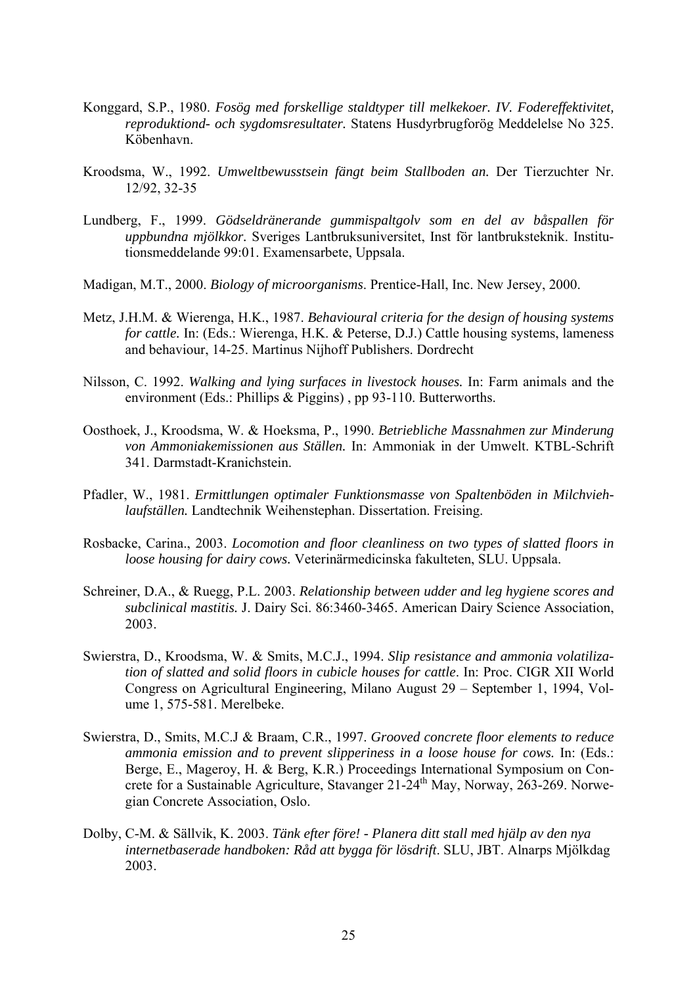- Konggard, S.P., 1980. *Fosög med forskellige staldtyper till melkekoer. IV. Fodereffektivitet, reproduktiond- och sygdomsresultater.* Statens Husdyrbrugforög Meddelelse No 325. Köbenhavn.
- Kroodsma, W., 1992. *Umweltbewusstsein fängt beim Stallboden an.* Der Tierzuchter Nr. 12/92, 32-35
- Lundberg, F., 1999. *Gödseldränerande gummispaltgolv som en del av båspallen för uppbundna mjölkkor.* Sveriges Lantbruksuniversitet, Inst för lantbruksteknik. Institutionsmeddelande 99:01. Examensarbete, Uppsala.
- Madigan, M.T., 2000. *Biology of microorganisms*. Prentice-Hall, Inc. New Jersey, 2000.
- Metz, J.H.M. & Wierenga, H.K., 1987. *Behavioural criteria for the design of housing systems for cattle.* In: (Eds.: Wierenga, H.K. & Peterse, D.J.) Cattle housing systems, lameness and behaviour, 14-25. Martinus Nijhoff Publishers. Dordrecht
- Nilsson, C. 1992. *Walking and lying surfaces in livestock houses.* In: Farm animals and the environment (Eds.: Phillips & Piggins) , pp 93-110. Butterworths.
- Oosthoek, J., Kroodsma, W. & Hoeksma, P., 1990. *Betriebliche Massnahmen zur Minderung von Ammoniakemissionen aus Ställen.* In: Ammoniak in der Umwelt. KTBL-Schrift 341. Darmstadt-Kranichstein.
- Pfadler, W., 1981. *Ermittlungen optimaler Funktionsmasse von Spaltenböden in Milchviehlaufställen.* Landtechnik Weihenstephan. Dissertation. Freising.
- Rosbacke, Carina., 2003. *Locomotion and floor cleanliness on two types of slatted floors in loose housing for dairy cows.* Veterinärmedicinska fakulteten, SLU. Uppsala.
- Schreiner, D.A., & Ruegg, P.L. 2003. *Relationship between udder and leg hygiene scores and subclinical mastitis.* J. Dairy Sci. 86:3460-3465. American Dairy Science Association, 2003.
- Swierstra, D., Kroodsma, W. & Smits, M.C.J., 1994. *Slip resistance and ammonia volatilization of slatted and solid floors in cubicle houses for cattle*. In: Proc. CIGR XII World Congress on Agricultural Engineering, Milano August 29 – September 1, 1994, Volume 1, 575-581. Merelbeke.
- Swierstra, D., Smits, M.C.J & Braam, C.R., 1997. *Grooved concrete floor elements to reduce ammonia emission and to prevent slipperiness in a loose house for cows.* In: (Eds.: Berge, E., Mageroy, H. & Berg, K.R.) Proceedings International Symposium on Concrete for a Sustainable Agriculture, Stavanger 21-24<sup>th</sup> May, Norway, 263-269. Norwegian Concrete Association, Oslo.
- Dolby, C-M. & Sällvik, K. 2003. *Tänk efter före! Planera ditt stall med hjälp av den nya internetbaserade handboken: Råd att bygga för lösdrift*. SLU, JBT. Alnarps Mjölkdag 2003.